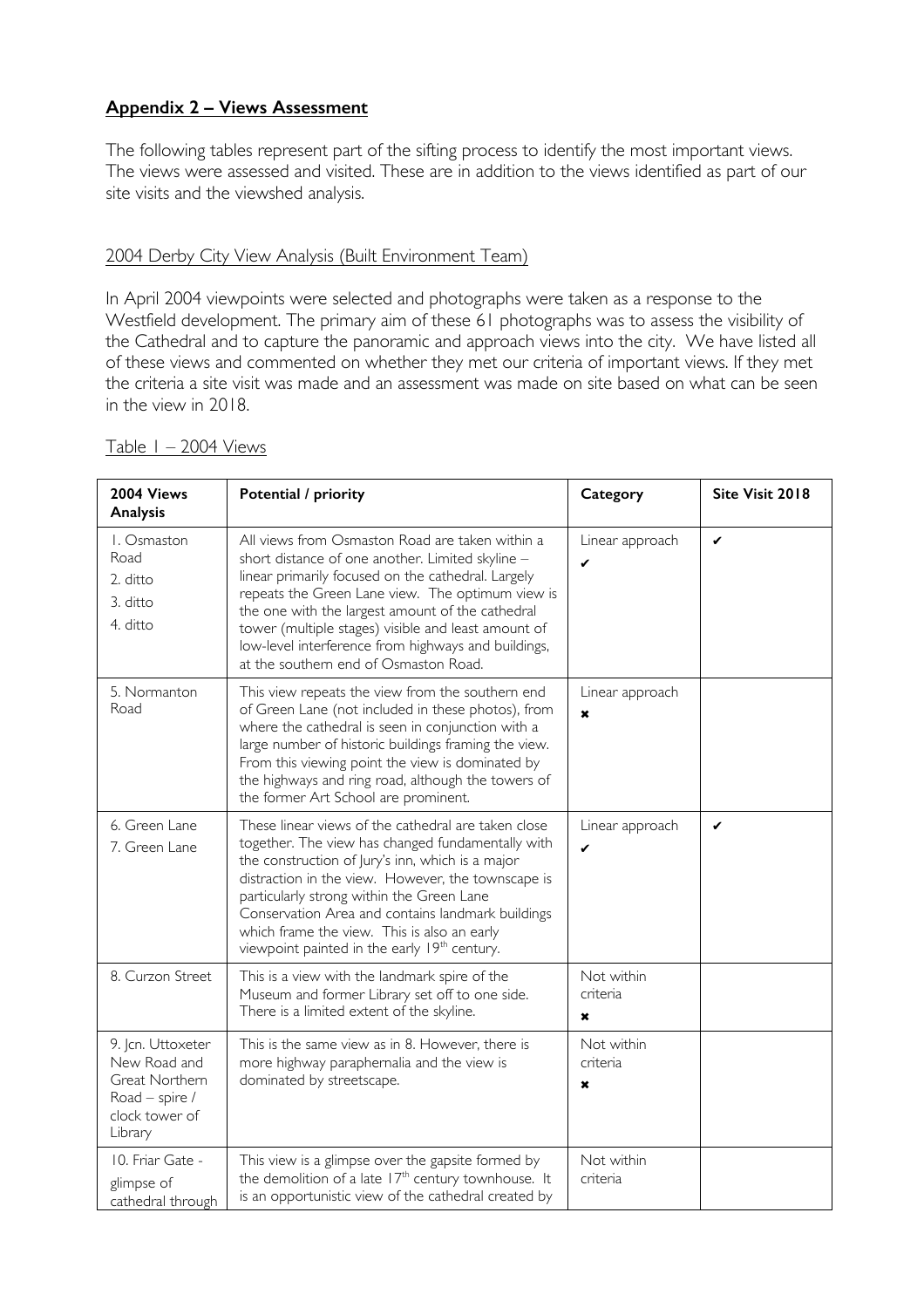## **Appendix 2 – Views Assessment**

The following tables represent part of the sifting process to identify the most important views. The views were assessed and visited. These are in addition to the views identified as part of our site visits and the viewshed analysis.

## 2004 Derby City View Analysis (Built Environment Team)

In April 2004 viewpoints were selected and photographs were taken as a response to the Westfield development. The primary aim of these 61 photographs was to assess the visibility of the Cathedral and to capture the panoramic and approach views into the city. We have listed all of these views and commented on whether they met our criteria of important views. If they met the criteria a site visit was made and an assessment was made on site based on what can be seen in the view in 2018.

| 2004 Views<br>Analysis                                                                             | Potential / priority                                                                                                                                                                                                                                                                                                                                                                                                            | Category                    | Site Visit 2018 |
|----------------------------------------------------------------------------------------------------|---------------------------------------------------------------------------------------------------------------------------------------------------------------------------------------------------------------------------------------------------------------------------------------------------------------------------------------------------------------------------------------------------------------------------------|-----------------------------|-----------------|
| I. Osmaston<br>Road<br>2. ditto<br>3. ditto<br>4. ditto                                            | All views from Osmaston Road are taken within a<br>short distance of one another. Limited skyline -<br>linear primarily focused on the cathedral. Largely<br>repeats the Green Lane view. The optimum view is<br>the one with the largest amount of the cathedral<br>tower (multiple stages) visible and least amount of<br>low-level interference from highways and buildings,<br>at the southern end of Osmaston Road.        | Linear approach<br>✔        | $\checkmark$    |
| 5. Normanton<br>Road                                                                               | This view repeats the view from the southern end<br>of Green Lane (not included in these photos), from<br>where the cathedral is seen in conjunction with a<br>large number of historic buildings framing the view.<br>From this viewing point the view is dominated by<br>the highways and ring road, although the towers of<br>the former Art School are prominent.                                                           | Linear approach<br>$\star$  |                 |
| 6. Green Lane<br>7. Green Lane                                                                     | These linear views of the cathedral are taken close<br>together. The view has changed fundamentally with<br>the construction of Jury's inn, which is a major<br>distraction in the view. However, the townscape is<br>particularly strong within the Green Lane<br>Conservation Area and contains landmark buildings<br>which frame the view. This is also an early<br>viewpoint painted in the early 19 <sup>th</sup> century. | Linear approach<br>✔        | ✓               |
| 8. Curzon Street                                                                                   | This is a view with the landmark spire of the<br>Museum and former Library set off to one side.<br>There is a limited extent of the skyline.                                                                                                                                                                                                                                                                                    | Not within<br>criteria<br>× |                 |
| 9. Jcn. Uttoxeter<br>New Road and<br>Great Northern<br>Road - spire /<br>clock tower of<br>Library | This is the same view as in 8. However, there is<br>more highway paraphernalia and the view is<br>dominated by streetscape.                                                                                                                                                                                                                                                                                                     | Not within<br>criteria<br>× |                 |
| 10. Friar Gate -<br>glimpse of<br>cathedral through                                                | This view is a glimpse over the gapsite formed by<br>the demolition of a late 17 <sup>th</sup> century townhouse. It<br>is an opportunistic view of the cathedral created by                                                                                                                                                                                                                                                    | Not within<br>criteria      |                 |

Table 1 – 2004 Views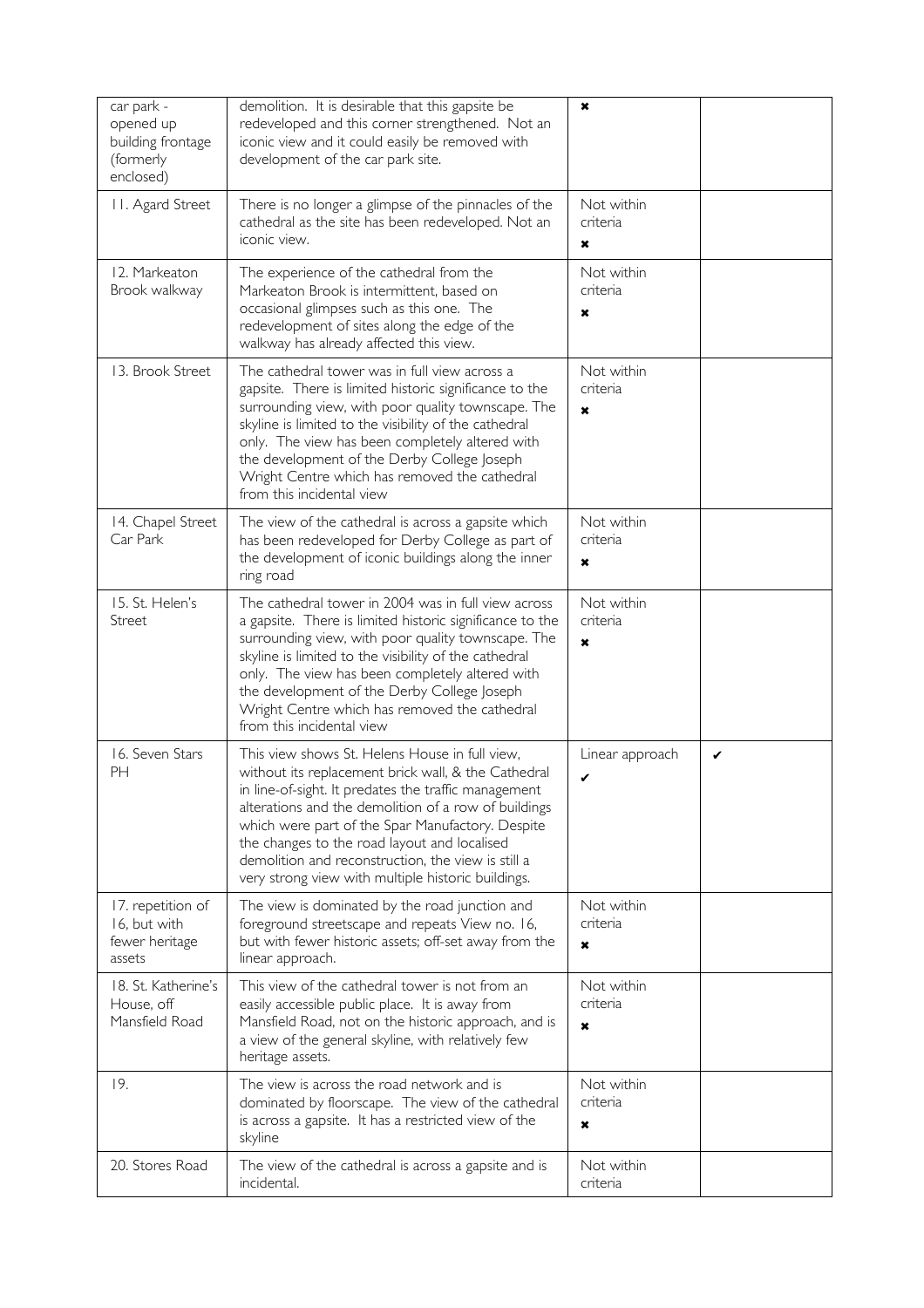| car park -<br>opened up<br>building frontage<br>(formerly<br>enclosed) | demolition. It is desirable that this gapsite be<br>redeveloped and this corner strengthened. Not an<br>iconic view and it could easily be removed with<br>development of the car park site.                                                                                                                                                                                                                                          | $\pmb{\times}$                                      |   |
|------------------------------------------------------------------------|---------------------------------------------------------------------------------------------------------------------------------------------------------------------------------------------------------------------------------------------------------------------------------------------------------------------------------------------------------------------------------------------------------------------------------------|-----------------------------------------------------|---|
| II. Agard Street                                                       | There is no longer a glimpse of the pinnacles of the<br>cathedral as the site has been redeveloped. Not an<br>iconic view.                                                                                                                                                                                                                                                                                                            | Not within<br>criteria<br>×                         |   |
| 12. Markeaton<br>Brook walkway                                         | The experience of the cathedral from the<br>Markeaton Brook is intermittent, based on<br>occasional glimpses such as this one. The<br>redevelopment of sites along the edge of the<br>walkway has already affected this view.                                                                                                                                                                                                         | Not within<br>criteria<br>×                         |   |
| 13. Brook Street                                                       | The cathedral tower was in full view across a<br>gapsite. There is limited historic significance to the<br>surrounding view, with poor quality townscape. The<br>skyline is limited to the visibility of the cathedral<br>only. The view has been completely altered with<br>the development of the Derby College Joseph<br>Wright Centre which has removed the cathedral<br>from this incidental view                                | Not within<br>criteria<br>×                         |   |
| 14. Chapel Street<br>Car Park                                          | The view of the cathedral is across a gapsite which<br>has been redeveloped for Derby College as part of<br>the development of iconic buildings along the inner<br>ring road                                                                                                                                                                                                                                                          | Not within<br>criteria<br>×                         |   |
| 15. St. Helen's<br>Street                                              | The cathedral tower in 2004 was in full view across<br>a gapsite. There is limited historic significance to the<br>surrounding view, with poor quality townscape. The<br>skyline is limited to the visibility of the cathedral<br>only. The view has been completely altered with<br>the development of the Derby College Joseph<br>Wright Centre which has removed the cathedral<br>from this incidental view                        | Not within<br>criteria<br>$\boldsymbol{\mathsf{x}}$ |   |
| 16. Seven Stars<br><b>PH</b>                                           | This view shows St. Helens House in full view,<br>without its replacement brick wall, & the Cathedral<br>in line-of-sight. It predates the traffic management<br>alterations and the demolition of a row of buildings<br>which were part of the Spar Manufactory. Despite<br>the changes to the road layout and localised<br>demolition and reconstruction, the view is still a<br>very strong view with multiple historic buildings. | Linear approach<br>✔                                | ✔ |
| 17. repetition of<br>16, but with<br>fewer heritage<br>assets          | The view is dominated by the road junction and<br>foreground streetscape and repeats View no. 16,<br>but with fewer historic assets; off-set away from the<br>linear approach.                                                                                                                                                                                                                                                        | Not within<br>criteria<br>×                         |   |
| 18. St. Katherine's<br>House, off<br>Mansfield Road                    | This view of the cathedral tower is not from an<br>easily accessible public place. It is away from<br>Mansfield Road, not on the historic approach, and is<br>a view of the general skyline, with relatively few<br>heritage assets.                                                                                                                                                                                                  | Not within<br>criteria<br>$\mathbf x$               |   |
| 19.                                                                    | The view is across the road network and is<br>dominated by floorscape. The view of the cathedral<br>is across a gapsite. It has a restricted view of the<br>skyline                                                                                                                                                                                                                                                                   | Not within<br>criteria<br>×                         |   |
| 20. Stores Road                                                        | The view of the cathedral is across a gapsite and is<br>incidental.                                                                                                                                                                                                                                                                                                                                                                   | Not within<br>criteria                              |   |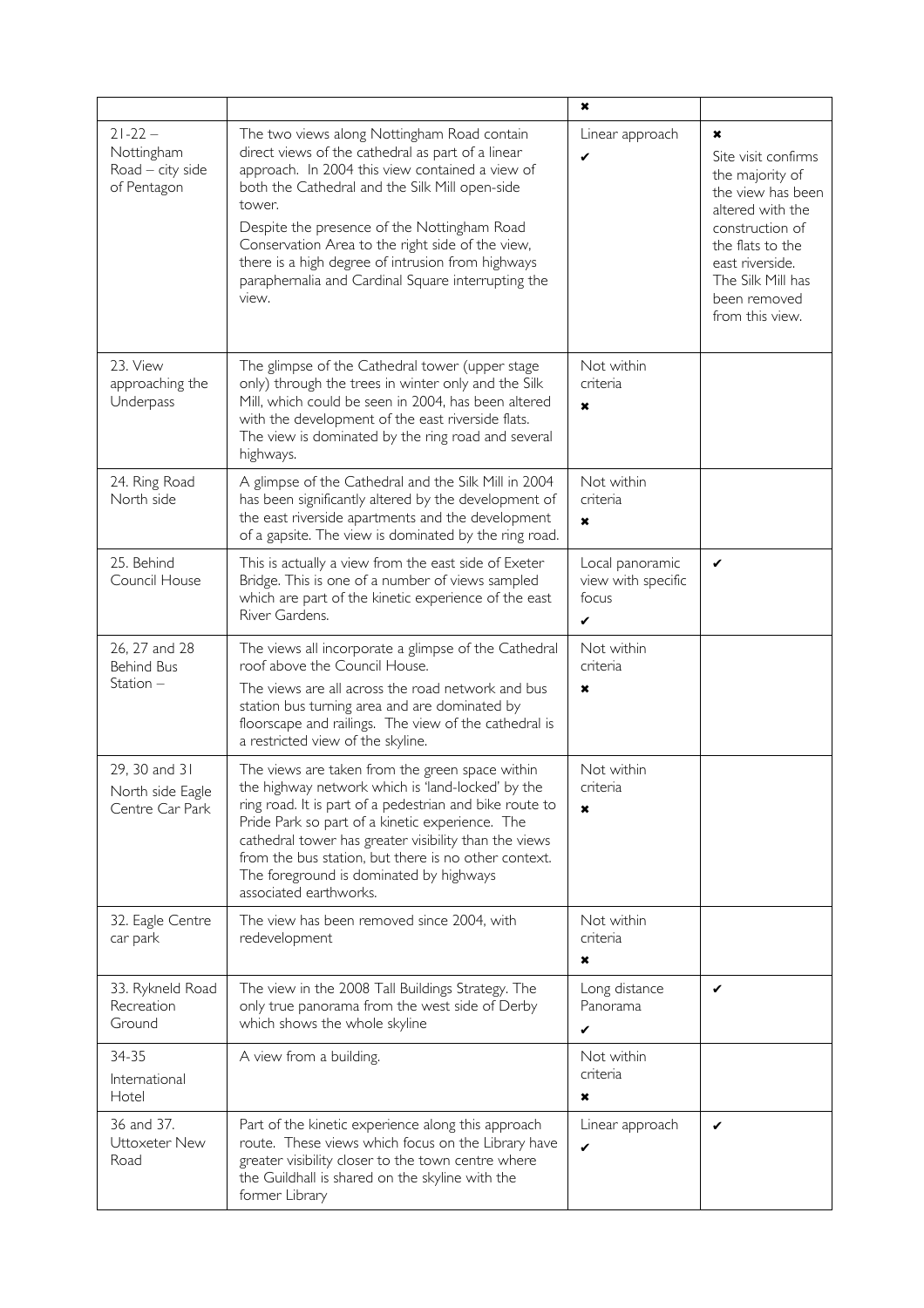|                                                                |                                                                                                                                                                                                                                                                                                                                                                                                                                        | $\pmb{\times}$                                      |                                                                                                                                                                                                        |
|----------------------------------------------------------------|----------------------------------------------------------------------------------------------------------------------------------------------------------------------------------------------------------------------------------------------------------------------------------------------------------------------------------------------------------------------------------------------------------------------------------------|-----------------------------------------------------|--------------------------------------------------------------------------------------------------------------------------------------------------------------------------------------------------------|
| $21 - 22 -$<br>Nottingham<br>Road $-$ city side<br>of Pentagon | The two views along Nottingham Road contain<br>direct views of the cathedral as part of a linear<br>approach. In 2004 this view contained a view of<br>both the Cathedral and the Silk Mill open-side<br>tower.<br>Despite the presence of the Nottingham Road<br>Conservation Area to the right side of the view,<br>there is a high degree of intrusion from highways<br>paraphernalia and Cardinal Square interrupting the<br>view. | Linear approach<br>✔                                | ×<br>Site visit confirms<br>the majority of<br>the view has been<br>altered with the<br>construction of<br>the flats to the<br>east riverside.<br>The Silk Mill has<br>been removed<br>from this view. |
| 23. View<br>approaching the<br>Underpass                       | The glimpse of the Cathedral tower (upper stage<br>only) through the trees in winter only and the Silk<br>Mill, which could be seen in 2004, has been altered<br>with the development of the east riverside flats.<br>The view is dominated by the ring road and several<br>highways.                                                                                                                                                  | Not within<br>criteria<br>$\boldsymbol{\mathsf{x}}$ |                                                                                                                                                                                                        |
| 24. Ring Road<br>North side                                    | A glimpse of the Cathedral and the Silk Mill in 2004<br>has been significantly altered by the development of<br>the east riverside apartments and the development<br>of a gapsite. The view is dominated by the ring road.                                                                                                                                                                                                             | Not within<br>criteria<br>$\boldsymbol{\mathsf{x}}$ |                                                                                                                                                                                                        |
| 25. Behind<br>Council House                                    | This is actually a view from the east side of Exeter<br>Bridge. This is one of a number of views sampled<br>which are part of the kinetic experience of the east<br>River Gardens.                                                                                                                                                                                                                                                     | Local panoramic<br>view with specific<br>focus<br>✓ | ✓                                                                                                                                                                                                      |
| 26, 27 and 28<br><b>Behind Bus</b><br>Station -                | The views all incorporate a glimpse of the Cathedral<br>roof above the Council House.<br>The views are all across the road network and bus<br>station bus turning area and are dominated by<br>floorscape and railings. The view of the cathedral is<br>a restricted view of the skyline.                                                                                                                                              | Not within<br>criteria<br>×                         |                                                                                                                                                                                                        |
| 29, 30 and 31<br>North side Eagle<br>Centre Car Park           | The views are taken from the green space within<br>the highway network which is 'land-locked' by the<br>ring road. It is part of a pedestrian and bike route to<br>Pride Park so part of a kinetic experience. The<br>cathedral tower has greater visibility than the views<br>from the bus station, but there is no other context.<br>The foreground is dominated by highways<br>associated earthworks.                               | Not within<br>criteria<br>×                         |                                                                                                                                                                                                        |
| 32. Eagle Centre<br>car park                                   | The view has been removed since 2004, with<br>redevelopment                                                                                                                                                                                                                                                                                                                                                                            | Not within<br>criteria<br>×                         |                                                                                                                                                                                                        |
| 33. Rykneld Road<br>Recreation<br>Ground                       | The view in the 2008 Tall Buildings Strategy. The<br>only true panorama from the west side of Derby<br>which shows the whole skyline                                                                                                                                                                                                                                                                                                   | Long distance<br>Panorama<br>✔                      | $\checkmark$                                                                                                                                                                                           |
| 34-35<br>International<br>Hotel                                | A view from a building.                                                                                                                                                                                                                                                                                                                                                                                                                | Not within<br>criteria<br>×                         |                                                                                                                                                                                                        |
| 36 and 37.<br>Uttoxeter New<br>Road                            | Part of the kinetic experience along this approach<br>route. These views which focus on the Library have<br>greater visibility closer to the town centre where<br>the Guildhall is shared on the skyline with the<br>former Library                                                                                                                                                                                                    | Linear approach<br>✓                                | ✔                                                                                                                                                                                                      |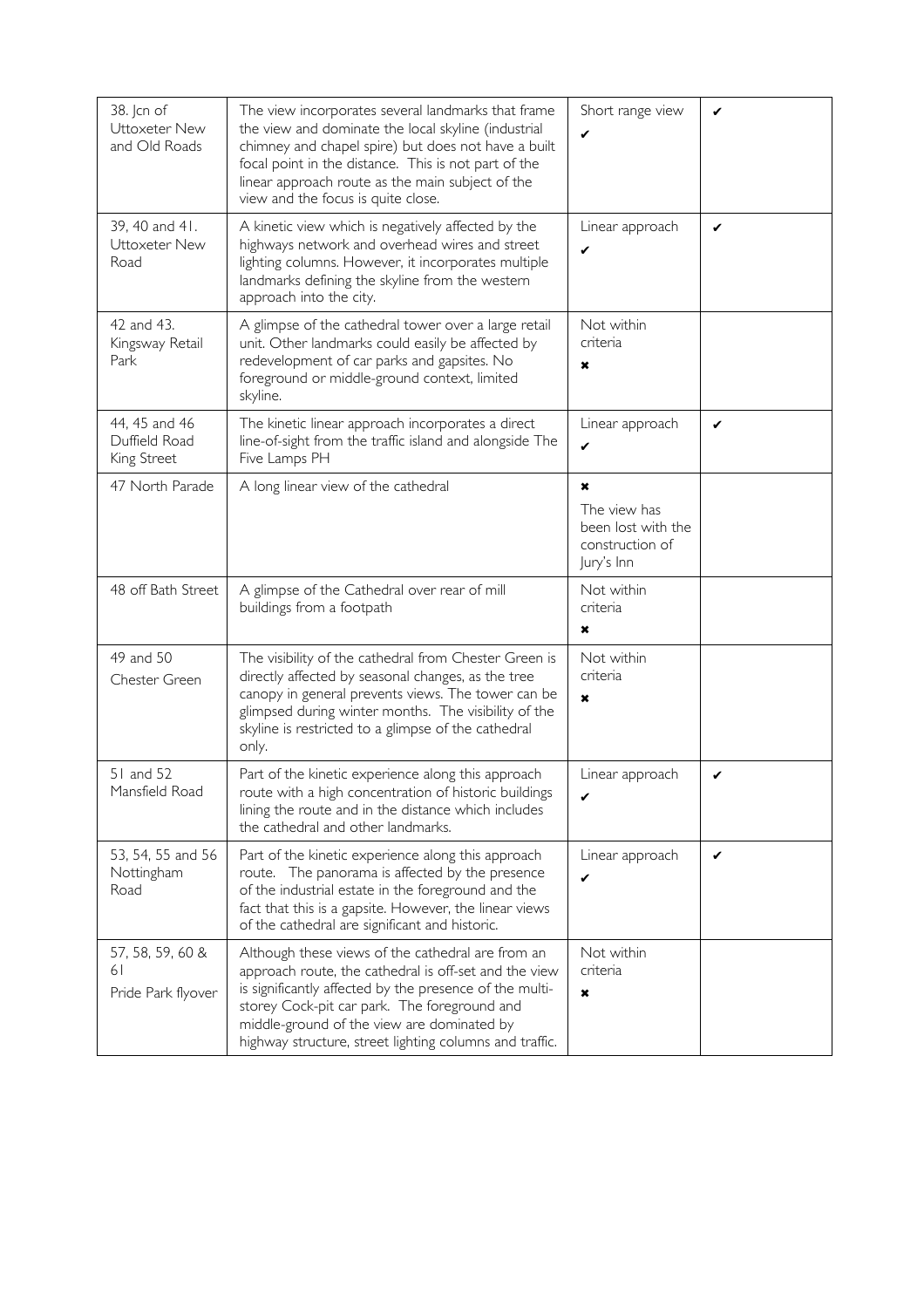| 38. Jcn of<br>Uttoxeter New<br>and Old Roads  | The view incorporates several landmarks that frame<br>the view and dominate the local skyline (industrial<br>chimney and chapel spire) but does not have a built<br>focal point in the distance. This is not part of the<br>linear approach route as the main subject of the<br>view and the focus is quite close.             | Short range view<br>✔                                                          | ✔ |
|-----------------------------------------------|--------------------------------------------------------------------------------------------------------------------------------------------------------------------------------------------------------------------------------------------------------------------------------------------------------------------------------|--------------------------------------------------------------------------------|---|
| 39, 40 and 41.<br>Uttoxeter New<br>Road       | A kinetic view which is negatively affected by the<br>highways network and overhead wires and street<br>lighting columns. However, it incorporates multiple<br>landmarks defining the skyline from the western<br>approach into the city.                                                                                      | Linear approach<br>✓                                                           | ✔ |
| 42 and 43.<br>Kingsway Retail<br>Park         | A glimpse of the cathedral tower over a large retail<br>unit. Other landmarks could easily be affected by<br>redevelopment of car parks and gapsites. No<br>foreground or middle-ground context, limited<br>skyline.                                                                                                           | Not within<br>criteria<br>×                                                    |   |
| 44, 45 and 46<br>Duffield Road<br>King Street | The kinetic linear approach incorporates a direct<br>line-of-sight from the traffic island and alongside The<br>Five Lamps PH                                                                                                                                                                                                  | Linear approach<br>✔                                                           | ✓ |
| 47 North Parade                               | A long linear view of the cathedral                                                                                                                                                                                                                                                                                            | $\star$<br>The view has<br>been lost with the<br>construction of<br>Jury's Inn |   |
| 48 off Bath Street                            | A glimpse of the Cathedral over rear of mill<br>buildings from a footpath                                                                                                                                                                                                                                                      | Not within<br>criteria<br>×                                                    |   |
| 49 and 50<br>Chester Green                    | The visibility of the cathedral from Chester Green is<br>directly affected by seasonal changes, as the tree<br>canopy in general prevents views. The tower can be<br>glimpsed during winter months. The visibility of the<br>skyline is restricted to a glimpse of the cathedral<br>only.                                      | Not within<br>criteria<br>×                                                    |   |
| 51 and 52<br>Mansfield Road                   | Part of the kinetic experience along this approach<br>route with a high concentration of historic buildings<br>lining the route and in the distance which includes<br>the cathedral and other landmarks.                                                                                                                       | Linear approach<br>✓                                                           | ✔ |
| 53, 54, 55 and 56<br>Nottingham<br>Road       | Part of the kinetic experience along this approach<br>route. The panorama is affected by the presence<br>of the industrial estate in the foreground and the<br>fact that this is a gapsite. However, the linear views<br>of the cathedral are significant and historic.                                                        | Linear approach<br>✔                                                           | ✔ |
| 57, 58, 59, 60 &<br>61<br>Pride Park flyover  | Although these views of the cathedral are from an<br>approach route, the cathedral is off-set and the view<br>is significantly affected by the presence of the multi-<br>storey Cock-pit car park. The foreground and<br>middle-ground of the view are dominated by<br>highway structure, street lighting columns and traffic. | Not within<br>criteria<br>$\boldsymbol{\mathsf{x}}$                            |   |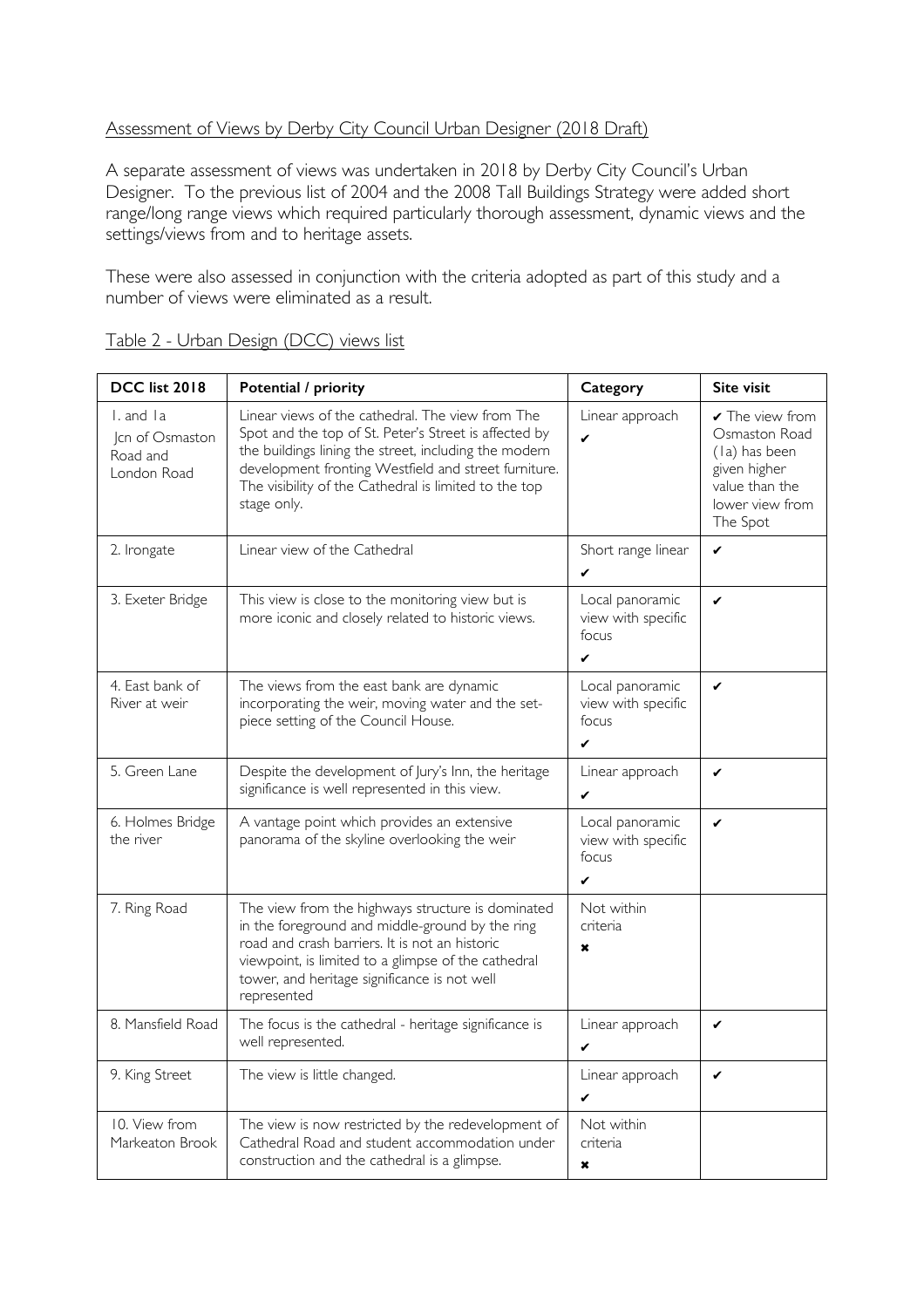## Assessment of Views by Derby City Council Urban Designer (2018 Draft)

A separate assessment of views was undertaken in 2018 by Derby City Council's Urban Designer. To the previous list of 2004 and the 2008 Tall Buildings Strategy were added short range/long range views which required particularly thorough assessment, dynamic views and the settings/views from and to heritage assets.

These were also assessed in conjunction with the criteria adopted as part of this study and a number of views were eliminated as a result.

| <b>DCC list 2018</b>                                    | Potential / priority                                                                                                                                                                                                                                                                               | Category                                                       | Site visit                                                                                                         |
|---------------------------------------------------------|----------------------------------------------------------------------------------------------------------------------------------------------------------------------------------------------------------------------------------------------------------------------------------------------------|----------------------------------------------------------------|--------------------------------------------------------------------------------------------------------------------|
| I. and Ia<br>Jcn of Osmaston<br>Road and<br>London Road | Linear views of the cathedral. The view from The<br>Spot and the top of St. Peter's Street is affected by<br>the buildings lining the street, including the modern<br>development fronting Westfield and street furniture.<br>The visibility of the Cathedral is limited to the top<br>stage only. | Linear approach<br>✔                                           | ✔ The view from<br>Osmaston Road<br>(la) has been<br>given higher<br>value than the<br>lower view from<br>The Spot |
| 2. Irongate                                             | Linear view of the Cathedral                                                                                                                                                                                                                                                                       | Short range linear                                             | ✓                                                                                                                  |
| 3. Exeter Bridge                                        | This view is close to the monitoring view but is<br>more iconic and closely related to historic views.                                                                                                                                                                                             | Local panoramic<br>view with specific<br>focus<br>✔            | ✓                                                                                                                  |
| 4. East bank of<br>River at weir                        | The views from the east bank are dynamic<br>incorporating the weir, moving water and the set-<br>piece setting of the Council House.                                                                                                                                                               | Local panoramic<br>view with specific<br>focus<br>✔            | ✓                                                                                                                  |
| 5. Green Lane                                           | Despite the development of Jury's Inn, the heritage<br>significance is well represented in this view.                                                                                                                                                                                              | Linear approach<br>✓                                           | ✓                                                                                                                  |
| 6. Holmes Bridge<br>the river                           | A vantage point which provides an extensive<br>panorama of the skyline overlooking the weir                                                                                                                                                                                                        | Local panoramic<br>view with specific<br>focus<br>$\checkmark$ | ✓                                                                                                                  |
| 7. Ring Road                                            | The view from the highways structure is dominated<br>in the foreground and middle-ground by the ring<br>road and crash barriers. It is not an historic<br>viewpoint, is limited to a glimpse of the cathedral<br>tower, and heritage significance is not well<br>represented                       | Not within<br>criteria<br>$\star$                              |                                                                                                                    |
| 8. Mansfield Road                                       | The focus is the cathedral - heritage significance is<br>well represented.                                                                                                                                                                                                                         | Linear approach<br>✔                                           | ✓                                                                                                                  |
| 9. King Street                                          | The view is little changed.                                                                                                                                                                                                                                                                        | Linear approach<br>$\checkmark$                                | $\checkmark$                                                                                                       |
| 10. View from<br>Markeaton Brook                        | The view is now restricted by the redevelopment of<br>Cathedral Road and student accommodation under<br>construction and the cathedral is a glimpse.                                                                                                                                               | Not within<br>criteria<br>×                                    |                                                                                                                    |

Table 2 - Urban Design (DCC) views list